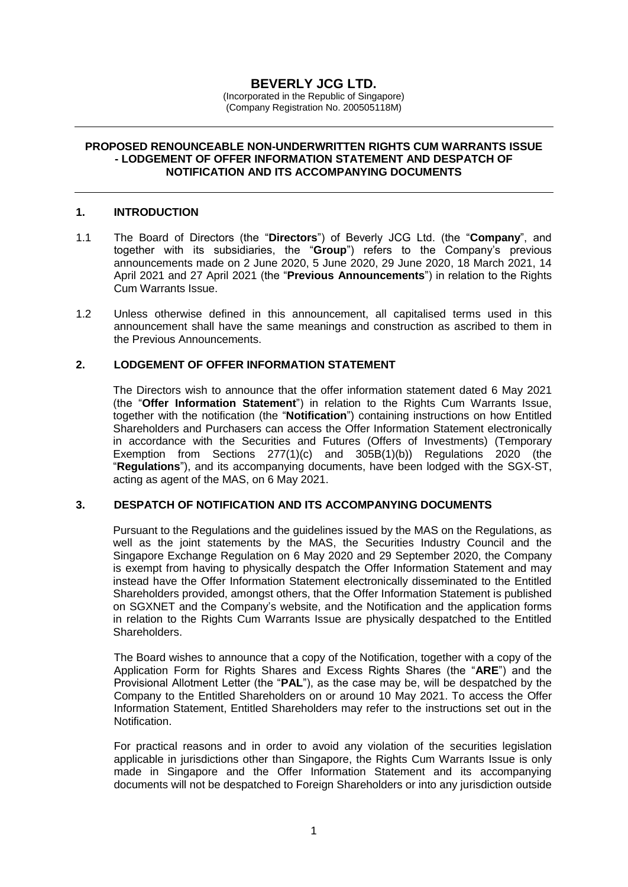# **BEVERLY JCG LTD.**

(Incorporated in the Republic of Singapore) (Company Registration No. 200505118M)

### **PROPOSED RENOUNCEABLE NON-UNDERWRITTEN RIGHTS CUM WARRANTS ISSUE - LODGEMENT OF OFFER INFORMATION STATEMENT AND DESPATCH OF NOTIFICATION AND ITS ACCOMPANYING DOCUMENTS**

# **1. INTRODUCTION**

- 1.1 The Board of Directors (the "**Directors**") of Beverly JCG Ltd. (the "**Company**", and together with its subsidiaries, the "**Group**") refers to the Company's previous announcements made on 2 June 2020, 5 June 2020, 29 June 2020, 18 March 2021, 14 April 2021 and 27 April 2021 (the "**Previous Announcements**") in relation to the Rights Cum Warrants Issue.
- 1.2 Unless otherwise defined in this announcement, all capitalised terms used in this announcement shall have the same meanings and construction as ascribed to them in the Previous Announcements.

# **2. LODGEMENT OF OFFER INFORMATION STATEMENT**

The Directors wish to announce that the offer information statement dated 6 May 2021 (the "**Offer Information Statement**") in relation to the Rights Cum Warrants Issue, together with the notification (the "**Notification**") containing instructions on how Entitled Shareholders and Purchasers can access the Offer Information Statement electronically in accordance with the Securities and Futures (Offers of Investments) (Temporary Exemption from Sections 277(1)(c) and 305B(1)(b)) Regulations 2020 (the "**Regulations**"), and its accompanying documents, have been lodged with the SGX-ST, acting as agent of the MAS, on 6 May 2021.

# **3. DESPATCH OF NOTIFICATION AND ITS ACCOMPANYING DOCUMENTS**

Pursuant to the Regulations and the guidelines issued by the MAS on the Regulations, as well as the joint statements by the MAS, the Securities Industry Council and the Singapore Exchange Regulation on 6 May 2020 and 29 September 2020, the Company is exempt from having to physically despatch the Offer Information Statement and may instead have the Offer Information Statement electronically disseminated to the Entitled Shareholders provided, amongst others, that the Offer Information Statement is published on SGXNET and the Company's website, and the Notification and the application forms in relation to the Rights Cum Warrants Issue are physically despatched to the Entitled Shareholders.

The Board wishes to announce that a copy of the Notification, together with a copy of the Application Form for Rights Shares and Excess Rights Shares (the "**ARE**") and the Provisional Allotment Letter (the "**PAL**"), as the case may be, will be despatched by the Company to the Entitled Shareholders on or around 10 May 2021. To access the Offer Information Statement, Entitled Shareholders may refer to the instructions set out in the Notification.

For practical reasons and in order to avoid any violation of the securities legislation applicable in jurisdictions other than Singapore, the Rights Cum Warrants Issue is only made in Singapore and the Offer Information Statement and its accompanying documents will not be despatched to Foreign Shareholders or into any jurisdiction outside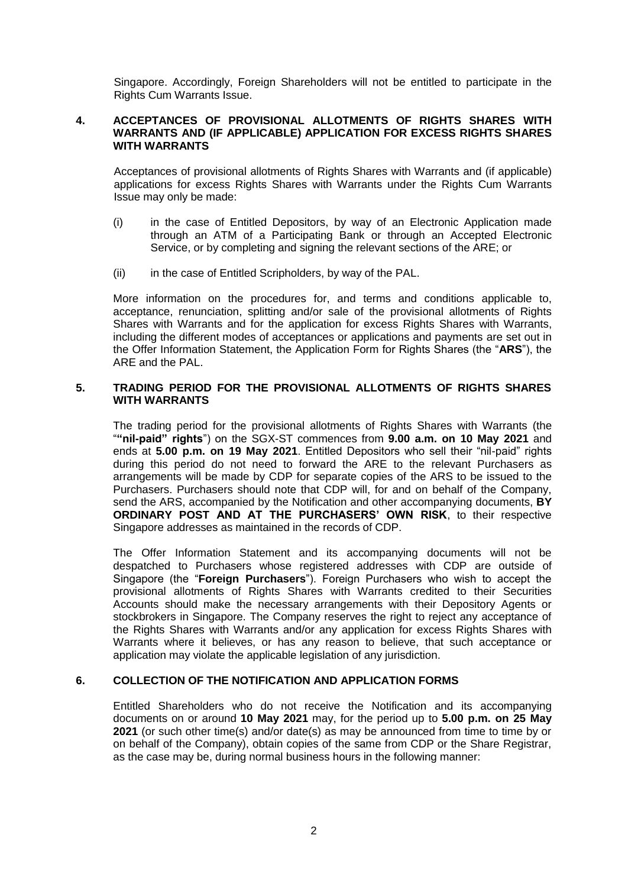Singapore. Accordingly, Foreign Shareholders will not be entitled to participate in the Rights Cum Warrants Issue.

# **4. ACCEPTANCES OF PROVISIONAL ALLOTMENTS OF RIGHTS SHARES WITH WARRANTS AND (IF APPLICABLE) APPLICATION FOR EXCESS RIGHTS SHARES WITH WARRANTS**

Acceptances of provisional allotments of Rights Shares with Warrants and (if applicable) applications for excess Rights Shares with Warrants under the Rights Cum Warrants Issue may only be made:

- (i) in the case of Entitled Depositors, by way of an Electronic Application made through an ATM of a Participating Bank or through an Accepted Electronic Service, or by completing and signing the relevant sections of the ARE; or
- (ii) in the case of Entitled Scripholders, by way of the PAL.

More information on the procedures for, and terms and conditions applicable to, acceptance, renunciation, splitting and/or sale of the provisional allotments of Rights Shares with Warrants and for the application for excess Rights Shares with Warrants, including the different modes of acceptances or applications and payments are set out in the Offer Information Statement, the Application Form for Rights Shares (the "**ARS**"), the ARE and the PAL.

### **5. TRADING PERIOD FOR THE PROVISIONAL ALLOTMENTS OF RIGHTS SHARES WITH WARRANTS**

The trading period for the provisional allotments of Rights Shares with Warrants (the "**"nil-paid" rights**") on the SGX-ST commences from **9.00 a.m. on 10 May 2021** and ends at **5.00 p.m. on 19 May 2021**. Entitled Depositors who sell their "nil-paid" rights during this period do not need to forward the ARE to the relevant Purchasers as arrangements will be made by CDP for separate copies of the ARS to be issued to the Purchasers. Purchasers should note that CDP will, for and on behalf of the Company, send the ARS, accompanied by the Notification and other accompanying documents, **BY ORDINARY POST AND AT THE PURCHASERS' OWN RISK**, to their respective Singapore addresses as maintained in the records of CDP.

The Offer Information Statement and its accompanying documents will not be despatched to Purchasers whose registered addresses with CDP are outside of Singapore (the "**Foreign Purchasers**"). Foreign Purchasers who wish to accept the provisional allotments of Rights Shares with Warrants credited to their Securities Accounts should make the necessary arrangements with their Depository Agents or stockbrokers in Singapore. The Company reserves the right to reject any acceptance of the Rights Shares with Warrants and/or any application for excess Rights Shares with Warrants where it believes, or has any reason to believe, that such acceptance or application may violate the applicable legislation of any jurisdiction.

# **6. COLLECTION OF THE NOTIFICATION AND APPLICATION FORMS**

Entitled Shareholders who do not receive the Notification and its accompanying documents on or around **10 May 2021** may, for the period up to **5.00 p.m. on 25 May 2021** (or such other time(s) and/or date(s) as may be announced from time to time by or on behalf of the Company), obtain copies of the same from CDP or the Share Registrar, as the case may be, during normal business hours in the following manner: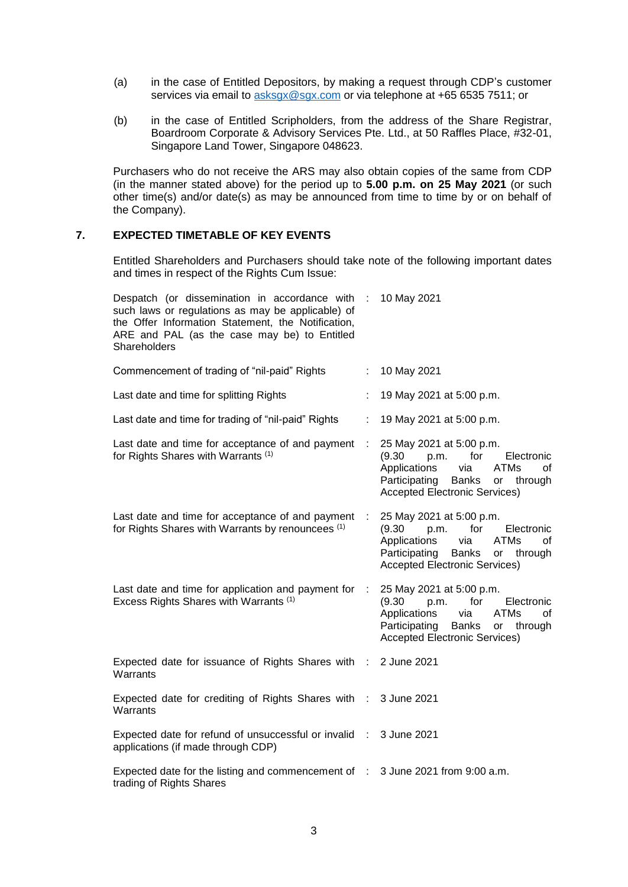- (a) in the case of Entitled Depositors, by making a request through CDP's customer services via email to [asksgx@sgx.com](mailto:asksgx@sgx.com) or via telephone at +65 6535 7511; or
- (b) in the case of Entitled Scripholders, from the address of the Share Registrar, Boardroom Corporate & Advisory Services Pte. Ltd., at 50 Raffles Place, #32-01, Singapore Land Tower, Singapore 048623.

Purchasers who do not receive the ARS may also obtain copies of the same from CDP (in the manner stated above) for the period up to **5.00 p.m. on 25 May 2021** (or such other time(s) and/or date(s) as may be announced from time to time by or on behalf of the Company).

#### **7. EXPECTED TIMETABLE OF KEY EVENTS**

Entitled Shareholders and Purchasers should take note of the following important dates and times in respect of the Rights Cum Issue:

| Despatch (or dissemination in accordance with<br>such laws or regulations as may be applicable) of<br>the Offer Information Statement, the Notification,<br>ARE and PAL (as the case may be) to Entitled<br>Shareholders |            | 10 May 2021                                                                                                                                                                                           |
|--------------------------------------------------------------------------------------------------------------------------------------------------------------------------------------------------------------------------|------------|-------------------------------------------------------------------------------------------------------------------------------------------------------------------------------------------------------|
| Commencement of trading of "nil-paid" Rights                                                                                                                                                                             |            | 10 May 2021                                                                                                                                                                                           |
| Last date and time for splitting Rights                                                                                                                                                                                  |            | 19 May 2021 at 5:00 p.m.                                                                                                                                                                              |
| Last date and time for trading of "nil-paid" Rights                                                                                                                                                                      |            | 19 May 2021 at 5:00 p.m.                                                                                                                                                                              |
| Last date and time for acceptance of and payment<br>for Rights Shares with Warrants (1)                                                                                                                                  | ÷          | 25 May 2021 at 5:00 p.m.<br>for<br>(9.30)<br>p.m.<br>Electronic<br>Applications<br><b>ATMs</b><br>via<br>οf<br>Participating<br>Banks<br>or<br>through<br><b>Accepted Electronic Services)</b>        |
| Last date and time for acceptance of and payment<br>for Rights Shares with Warrants by renouncees (1)                                                                                                                    |            | 25 May 2021 at 5:00 p.m.<br>(9.30)<br>for<br>p.m.<br>Electronic<br>Applications<br>via<br><b>ATMs</b><br>оf<br>Participating<br><b>Banks</b><br>or<br>through<br><b>Accepted Electronic Services)</b> |
| Last date and time for application and payment for<br>Excess Rights Shares with Warrants (1)                                                                                                                             | $\sim 100$ | 25 May 2021 at 5:00 p.m.<br>(9.30)<br>for<br>p.m.<br>Electronic<br>Applications<br>via<br>ATMs<br>оf<br>Participating<br><b>Banks</b><br>or through<br><b>Accepted Electronic Services)</b>           |
| Expected date for issuance of Rights Shares with :<br>Warrants                                                                                                                                                           |            | 2 June 2021                                                                                                                                                                                           |
| Expected date for crediting of Rights Shares with :<br>Warrants                                                                                                                                                          |            | 3 June 2021                                                                                                                                                                                           |
| Expected date for refund of unsuccessful or invalid :<br>applications (if made through CDP)                                                                                                                              |            | 3 June 2021                                                                                                                                                                                           |
| Expected date for the listing and commencement of : 3 June 2021 from 9:00 a.m.<br>trading of Rights Shares                                                                                                               |            |                                                                                                                                                                                                       |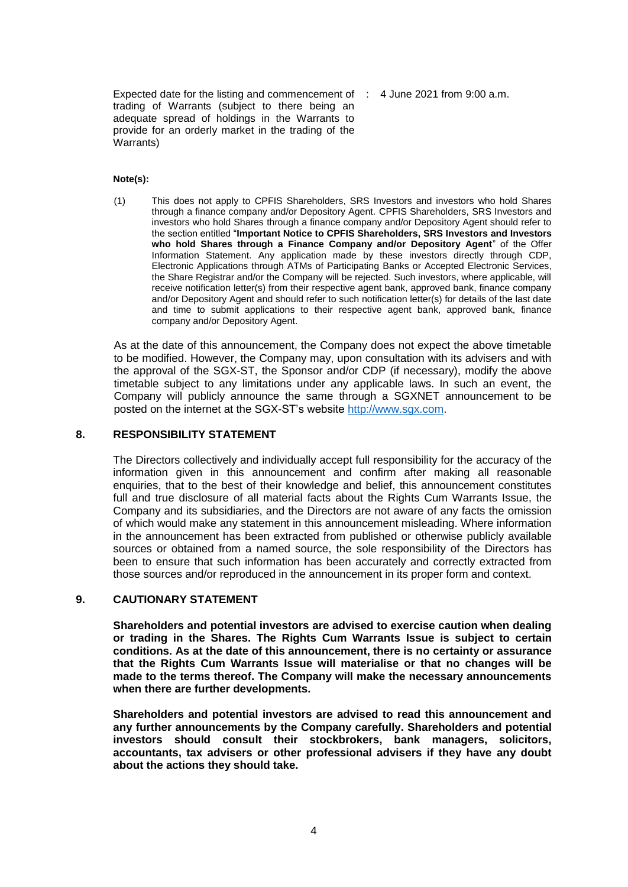Expected date for the listing and commencement of : 4 June 2021 from 9:00 a.m. trading of Warrants (subject to there being an adequate spread of holdings in the Warrants to provide for an orderly market in the trading of the Warrants)

### **Note(s):**

(1) This does not apply to CPFIS Shareholders, SRS Investors and investors who hold Shares through a finance company and/or Depository Agent. CPFIS Shareholders, SRS Investors and investors who hold Shares through a finance company and/or Depository Agent should refer to the section entitled "**Important Notice to CPFIS Shareholders, SRS Investors and Investors who hold Shares through a Finance Company and/or Depository Agent**" of the Offer Information Statement. Any application made by these investors directly through CDP, Electronic Applications through ATMs of Participating Banks or Accepted Electronic Services, the Share Registrar and/or the Company will be rejected. Such investors, where applicable, will receive notification letter(s) from their respective agent bank, approved bank, finance company and/or Depository Agent and should refer to such notification letter(s) for details of the last date and time to submit applications to their respective agent bank, approved bank, finance company and/or Depository Agent.

As at the date of this announcement, the Company does not expect the above timetable to be modified. However, the Company may, upon consultation with its advisers and with the approval of the SGX-ST, the Sponsor and/or CDP (if necessary), modify the above timetable subject to any limitations under any applicable laws. In such an event, the Company will publicly announce the same through a SGXNET announcement to be posted on the internet at the SGX-ST's website [http://www.sgx.com.](http://www.sgx.com/)

#### **8. RESPONSIBILITY STATEMENT**

The Directors collectively and individually accept full responsibility for the accuracy of the information given in this announcement and confirm after making all reasonable enquiries, that to the best of their knowledge and belief, this announcement constitutes full and true disclosure of all material facts about the Rights Cum Warrants Issue, the Company and its subsidiaries, and the Directors are not aware of any facts the omission of which would make any statement in this announcement misleading. Where information in the announcement has been extracted from published or otherwise publicly available sources or obtained from a named source, the sole responsibility of the Directors has been to ensure that such information has been accurately and correctly extracted from those sources and/or reproduced in the announcement in its proper form and context.

# **9. CAUTIONARY STATEMENT**

**Shareholders and potential investors are advised to exercise caution when dealing or trading in the Shares. The Rights Cum Warrants Issue is subject to certain conditions. As at the date of this announcement, there is no certainty or assurance that the Rights Cum Warrants Issue will materialise or that no changes will be made to the terms thereof. The Company will make the necessary announcements when there are further developments.**

**Shareholders and potential investors are advised to read this announcement and any further announcements by the Company carefully. Shareholders and potential investors should consult their stockbrokers, bank managers, solicitors, accountants, tax advisers or other professional advisers if they have any doubt about the actions they should take.**